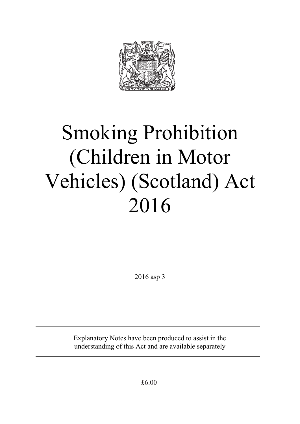

# Smoking Prohibition (Children in Motor Vehicles) (Scotland) Act 2016

2016 asp 3

Explanatory Notes have been produced to assist in the understanding of this Act and are available separately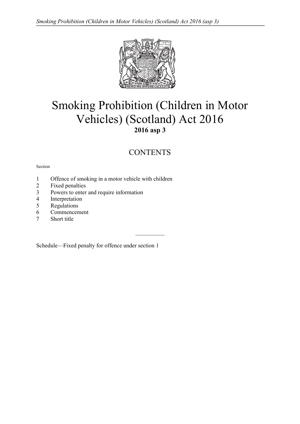

# Smoking Prohibition (Children in Motor Vehicles) (Scotland) Act 2016 **2016 asp 3**

# **CONTENTS**

 $\mathcal{L}_\text{max}$ 

#### Section

- 1 Offence of smoking in a motor vehicle with children
- 2 Fixed penalties
- 3 Powers to enter and require information
- 4 Interpretation
- 5 Regulations
- 6 Commencement
- 7 Short title

Schedule—Fixed penalty for offence under section 1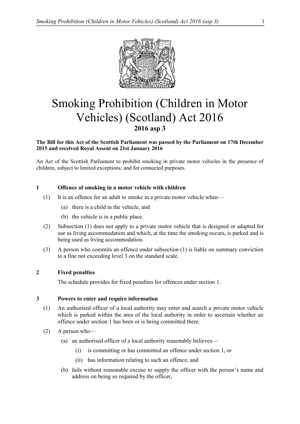

# Smoking Prohibition (Children in Motor Vehicles) (Scotland) Act 2016 **2016 asp 3**

# **The Bill for this Act of the Scottish Parliament was passed by the Parliament on 17th December 2015 and received Royal Assent on 21st January 2016**

An Act of the Scottish Parliament to prohibit smoking in private motor vehicles in the presence of children, subject to limited exceptions; and for connected purposes.

# **1 Offence of smoking in a motor vehicle with children**

- (1) It is an offence for an adult to smoke in a private motor vehicle when––
	- (a) there is a child in the vehicle, and
	- (b) the vehicle is in a public place.
- (2) Subsection (1) does not apply to a private motor vehicle that is designed or adapted for use as living accommodation and which, at the time the smoking occurs, is parked and is being used as living accommodation.
- (3) A person who commits an offence under subsection (1) is liable on summary conviction to a fine not exceeding level 3 on the standard scale.

# **2 Fixed penalties**

The schedule provides for fixed penalties for offences under section 1.

#### **3 Powers to enter and require information**

- (1) An authorised officer of a local authority may enter and search a private motor vehicle which is parked within the area of the local authority in order to ascertain whether an offence under section 1 has been or is being committed there.
- (2) A person who—
	- (a) an authorised officer of a local authority reasonably believes—
		- (i) is committing or has committed an offence under section 1, or
		- (ii) has information relating to such an offence, and
	- (b) fails without reasonable excuse to supply the officer with the person's name and address on being so required by the officer,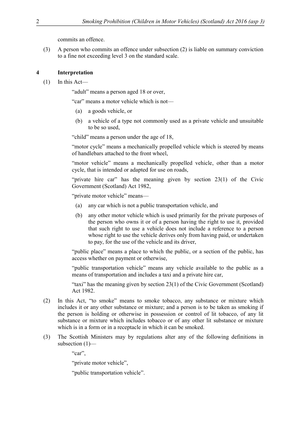commits an offence.

(3) A person who commits an offence under subsection (2) is liable on summary conviction to a fine not exceeding level 3 on the standard scale.

# **4 Interpretation**

 $(1)$  In this Act—

"adult" means a person aged 18 or over,

"car" means a motor vehicle which is not––

- (a) a goods vehicle, or
- (b) a vehicle of a type not commonly used as a private vehicle and unsuitable to be so used,

"child" means a person under the age of 18,

"motor cycle" means a mechanically propelled vehicle which is steered by means of handlebars attached to the front wheel,

"motor vehicle" means a mechanically propelled vehicle, other than a motor cycle, that is intended or adapted for use on roads,

"private hire car" has the meaning given by section 23(1) of the Civic Government (Scotland) Act 1982,

"private motor vehicle" means––

- (a) any car which is not a public transportation vehicle, and
- (b) any other motor vehicle which is used primarily for the private purposes of the person who owns it or of a person having the right to use it, provided that such right to use a vehicle does not include a reference to a person whose right to use the vehicle derives only from having paid, or undertaken to pay, for the use of the vehicle and its driver,

"public place" means a place to which the public, or a section of the public, has access whether on payment or otherwise,

"public transportation vehicle" means any vehicle available to the public as a means of transportation and includes a taxi and a private hire car,

"taxi" has the meaning given by section 23(1) of the Civic Government (Scotland) Act 1982.

- (2) In this Act, "to smoke" means to smoke tobacco, any substance or mixture which includes it or any other substance or mixture; and a person is to be taken as smoking if the person is holding or otherwise in possession or control of lit tobacco, of any lit substance or mixture which includes tobacco or of any other lit substance or mixture which is in a form or in a receptacle in which it can be smoked.
- (3) The Scottish Ministers may by regulations alter any of the following definitions in subsection  $(1)$ —

"car",

"private motor vehicle",

"public transportation vehicle".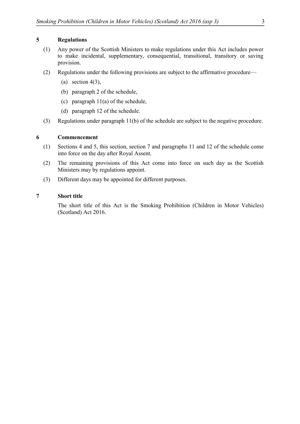# **5 Regulations**

- (1) Any power of the Scottish Ministers to make regulations under this Act includes power to make incidental, supplementary, consequential, transitional, transitory or saving provision.
- (2) Regulations under the following provisions are subject to the affirmative procedure—
	- (a) section  $4(3)$ ,
	- (b) paragraph 2 of the schedule,
	- (c) paragraph 11(a) of the schedule,
	- (d) paragraph 12 of the schedule.
- (3) Regulations under paragraph 11(b) of the schedule are subject to the negative procedure.

# **6 Commencement**

- (1) Sections 4 and 5, this section, section 7 and paragraphs 11 and 12 of the schedule come into force on the day after Royal Assent.
- (2) The remaining provisions of this Act come into force on such day as the Scottish Ministers may by regulations appoint.
- (3) Different days may be appointed for different purposes.

# **7 Short title**

The short title of this Act is the Smoking Prohibition (Children in Motor Vehicles) (Scotland) Act 2016.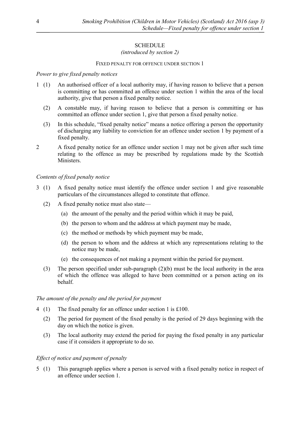# **SCHEDULE**

# *(introduced by section 2)*

### FIXED PENALTY FOR OFFENCE UNDER SECTION 1

## *Power to give fixed penalty notices*

- 1 (1) An authorised officer of a local authority may, if having reason to believe that a person is committing or has committed an offence under section 1 within the area of the local authority, give that person a fixed penalty notice.
	- (2) A constable may, if having reason to believe that a person is committing or has committed an offence under section 1, give that person a fixed penalty notice.
	- (3) In this schedule, "fixed penalty notice" means a notice offering a person the opportunity of discharging any liability to conviction for an offence under section 1 by payment of a fixed penalty.
- 2 A fixed penalty notice for an offence under section 1 may not be given after such time relating to the offence as may be prescribed by regulations made by the Scottish Ministers.

#### *Contents of fixed penalty notice*

- 3 (1) A fixed penalty notice must identify the offence under section 1 and give reasonable particulars of the circumstances alleged to constitute that offence.
	- (2) A fixed penalty notice must also state—
		- (a) the amount of the penalty and the period within which it may be paid,
		- (b) the person to whom and the address at which payment may be made,
		- (c) the method or methods by which payment may be made,
		- (d) the person to whom and the address at which any representations relating to the notice may be made,
		- (e) the consequences of not making a payment within the period for payment.
	- (3) The person specified under sub-paragraph (2)(b) must be the local authority in the area of which the offence was alleged to have been committed or a person acting on its behalf.

#### *The amount of the penalty and the period for payment*

- 4 (1) The fixed penalty for an offence under section 1 is £100.
	- (2) The period for payment of the fixed penalty is the period of 29 days beginning with the day on which the notice is given.
	- (3) The local authority may extend the period for paying the fixed penalty in any particular case if it considers it appropriate to do so.

#### *Effect of notice and payment of penalty*

5 (1) This paragraph applies where a person is served with a fixed penalty notice in respect of an offence under section 1.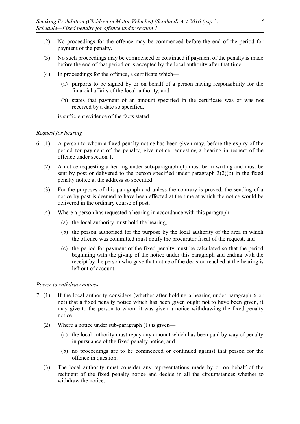- (2) No proceedings for the offence may be commenced before the end of the period for payment of the penalty.
- (3) No such proceedings may be commenced or continued if payment of the penalty is made before the end of that period or is accepted by the local authority after that time.
- (4) In proceedings for the offence, a certificate which—
	- (a) purports to be signed by or on behalf of a person having responsibility for the financial affairs of the local authority, and
	- (b) states that payment of an amount specified in the certificate was or was not received by a date so specified,

is sufficient evidence of the facts stated.

## *Request for hearing*

- 6 (1) A person to whom a fixed penalty notice has been given may, before the expiry of the period for payment of the penalty, give notice requesting a hearing in respect of the offence under section 1.
	- (2) A notice requesting a hearing under sub-paragraph (1) must be in writing and must be sent by post or delivered to the person specified under paragraph  $3(2)(b)$  in the fixed penalty notice at the address so specified.
	- (3) For the purposes of this paragraph and unless the contrary is proved, the sending of a notice by post is deemed to have been effected at the time at which the notice would be delivered in the ordinary course of post.
	- (4) Where a person has requested a hearing in accordance with this paragraph—
		- (a) the local authority must hold the hearing,
		- (b) the person authorised for the purpose by the local authority of the area in which the offence was committed must notify the procurator fiscal of the request, and
		- (c) the period for payment of the fixed penalty must be calculated so that the period beginning with the giving of the notice under this paragraph and ending with the receipt by the person who gave that notice of the decision reached at the hearing is left out of account.

### *Power to withdraw notices*

- 7 (1) If the local authority considers (whether after holding a hearing under paragraph 6 or not) that a fixed penalty notice which has been given ought not to have been given, it may give to the person to whom it was given a notice withdrawing the fixed penalty notice.
	- (2) Where a notice under sub-paragraph (1) is given—
		- (a) the local authority must repay any amount which has been paid by way of penalty in pursuance of the fixed penalty notice, and
		- (b) no proceedings are to be commenced or continued against that person for the offence in question.
	- (3) The local authority must consider any representations made by or on behalf of the recipient of the fixed penalty notice and decide in all the circumstances whether to withdraw the notice.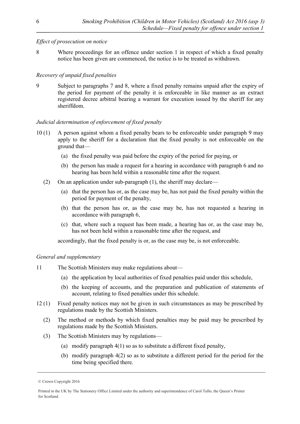# *Effect of prosecution on notice*

8 Where proceedings for an offence under section 1 in respect of which a fixed penalty notice has been given are commenced, the notice is to be treated as withdrawn.

# *Recovery of unpaid fixed penalties*

9 Subject to paragraphs 7 and 8, where a fixed penalty remains unpaid after the expiry of the period for payment of the penalty it is enforceable in like manner as an extract registered decree arbitral bearing a warrant for execution issued by the sheriff for any sheriffdom.

# *Judicial determination of enforcement of fixed penalty*

- 10 (1) A person against whom a fixed penalty bears to be enforceable under paragraph 9 may apply to the sheriff for a declaration that the fixed penalty is not enforceable on the ground that—
	- (a) the fixed penalty was paid before the expiry of the period for paying, or
	- (b) the person has made a request for a hearing in accordance with paragraph 6 and no hearing has been held within a reasonable time after the request.
	- (2) On an application under sub-paragraph  $(1)$ , the sheriff may declare—
		- (a) that the person has or, as the case may be, has not paid the fixed penalty within the period for payment of the penalty,
		- (b) that the person has or, as the case may be, has not requested a hearing in accordance with paragraph 6,
		- (c) that, where such a request has been made, a hearing has or, as the case may be, has not been held within a reasonable time after the request, and

accordingly, that the fixed penalty is or, as the case may be, is not enforceable.

# *General and supplementary*

- 11 The Scottish Ministers may make regulations about—
	- (a) the application by local authorities of fixed penalties paid under this schedule,
	- (b) the keeping of accounts, and the preparation and publication of statements of account, relating to fixed penalties under this schedule.
- 12 (1) Fixed penalty notices may not be given in such circumstances as may be prescribed by regulations made by the Scottish Ministers.
	- (2) The method or methods by which fixed penalties may be paid may be prescribed by regulations made by the Scottish Ministers.
	- (3) The Scottish Ministers may by regulations—
		- (a) modify paragraph 4(1) so as to substitute a different fixed penalty,
		- (b) modify paragraph 4(2) so as to substitute a different period for the period for the time being specified there.

<sup>©</sup> Crown Copyright 2016

Printed in the UK by The Stationery Office Limited under the authority and superintendence of Carol Tullo, the Queen's Printer for Scotland.